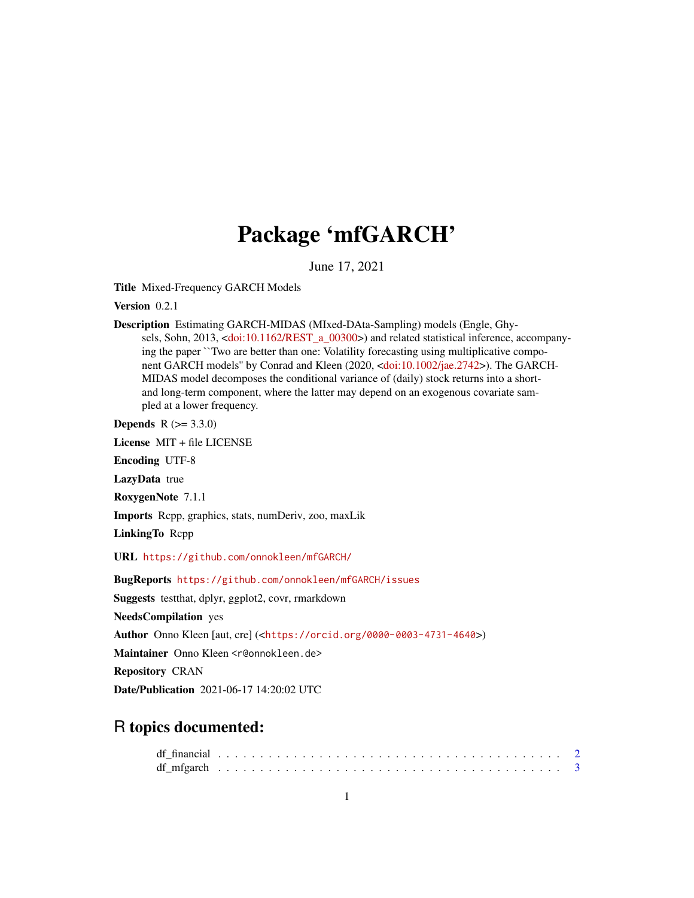# Package 'mfGARCH'

June 17, 2021

Title Mixed-Frequency GARCH Models

Version 0.2.1

Description Estimating GARCH-MIDAS (MIxed-DAta-Sampling) models (Engle, Ghysels, Sohn, 2013, [<doi:10.1162/REST\\_a\\_00300>](https://doi.org/10.1162/REST_a_00300)) and related statistical inference, accompanying the paper ``Two are better than one: Volatility forecasting using multiplicative component GARCH models'' by Conrad and Kleen (2020, [<doi:10.1002/jae.2742>](https://doi.org/10.1002/jae.2742)). The GARCH-MIDAS model decomposes the conditional variance of (daily) stock returns into a shortand long-term component, where the latter may depend on an exogenous covariate sampled at a lower frequency.

**Depends**  $R (= 3.3.0)$ 

License MIT + file LICENSE

Encoding UTF-8

LazyData true

RoxygenNote 7.1.1

Imports Rcpp, graphics, stats, numDeriv, zoo, maxLik

LinkingTo Rcpp

URL <https://github.com/onnokleen/mfGARCH/>

BugReports <https://github.com/onnokleen/mfGARCH/issues>

Suggests testthat, dplyr, ggplot2, covr, rmarkdown

NeedsCompilation yes

Author Onno Kleen [aut, cre] (<<https://orcid.org/0000-0003-4731-4640>>)

Maintainer Onno Kleen <r@onnokleen.de>

Repository CRAN

Date/Publication 2021-06-17 14:20:02 UTC

# R topics documented: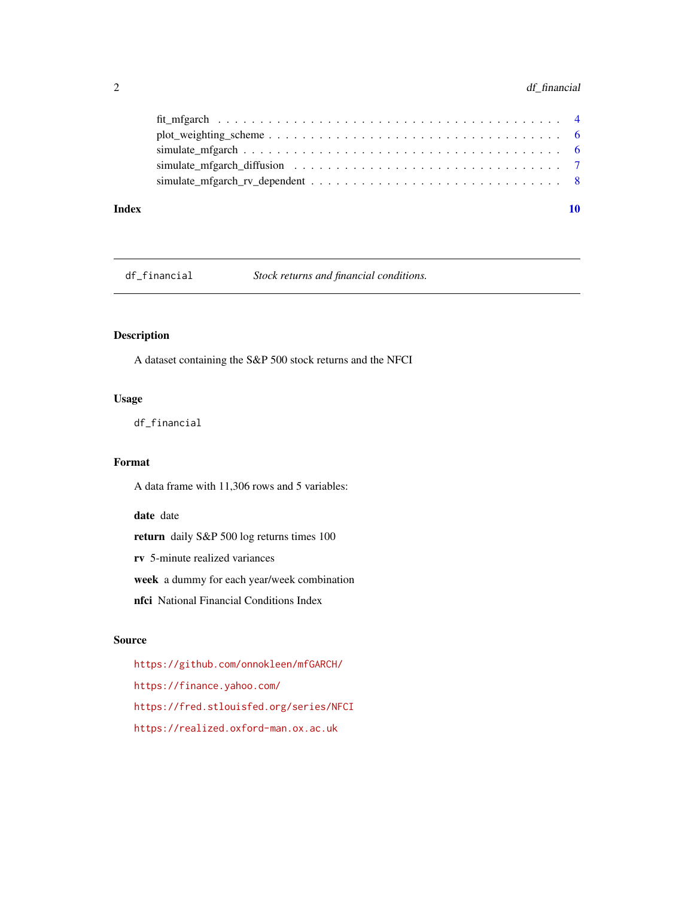## <span id="page-1-0"></span>2 df\_financial

#### $\blacksquare$

df\_financial *Stock returns and financial conditions.*

#### Description

A dataset containing the S&P 500 stock returns and the NFCI

#### Usage

df\_financial

### Format

A data frame with 11,306 rows and 5 variables:

date date

return daily S&P 500 log returns times 100

rv 5-minute realized variances

week a dummy for each year/week combination

nfci National Financial Conditions Index

#### Source

<https://github.com/onnokleen/mfGARCH/> <https://finance.yahoo.com/> <https://fred.stlouisfed.org/series/NFCI> <https://realized.oxford-man.ox.ac.uk>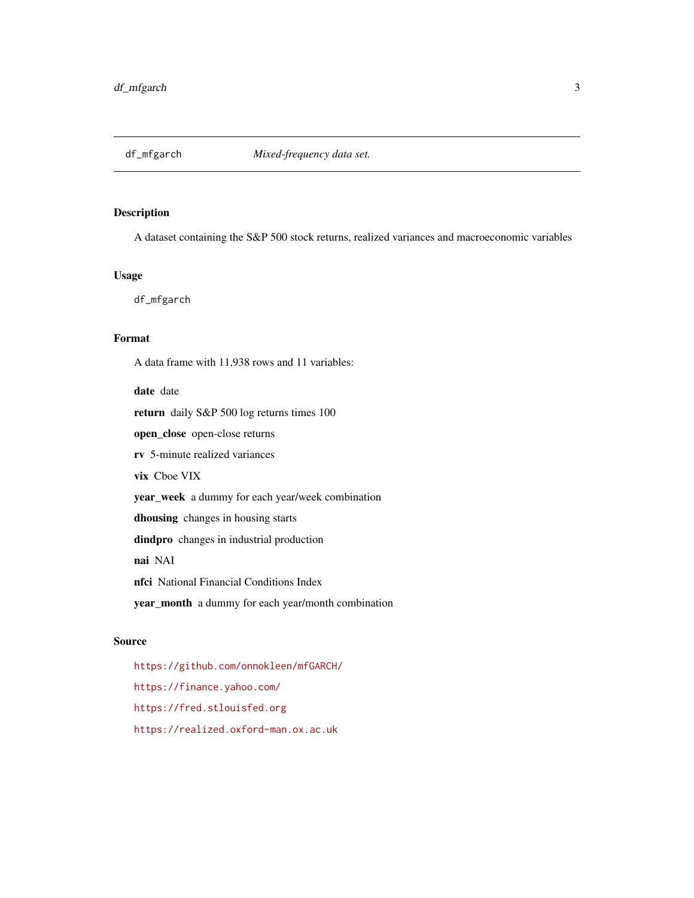<span id="page-2-0"></span>

#### Description

A dataset containing the S&P 500 stock returns, realized variances and macroeconomic variables

#### Usage

df\_mfgarch

#### Format

A data frame with 11,938 rows and 11 variables:

date date

return daily S&P 500 log returns times 100

open\_close open-close returns

rv 5-minute realized variances

vix Cboe VIX

year\_week a dummy for each year/week combination

dhousing changes in housing starts

dindpro changes in industrial production

nai NAI

nfci National Financial Conditions Index

year\_month a dummy for each year/month combination

#### Source

<https://github.com/onnokleen/mfGARCH/> <https://finance.yahoo.com/> <https://fred.stlouisfed.org> <https://realized.oxford-man.ox.ac.uk>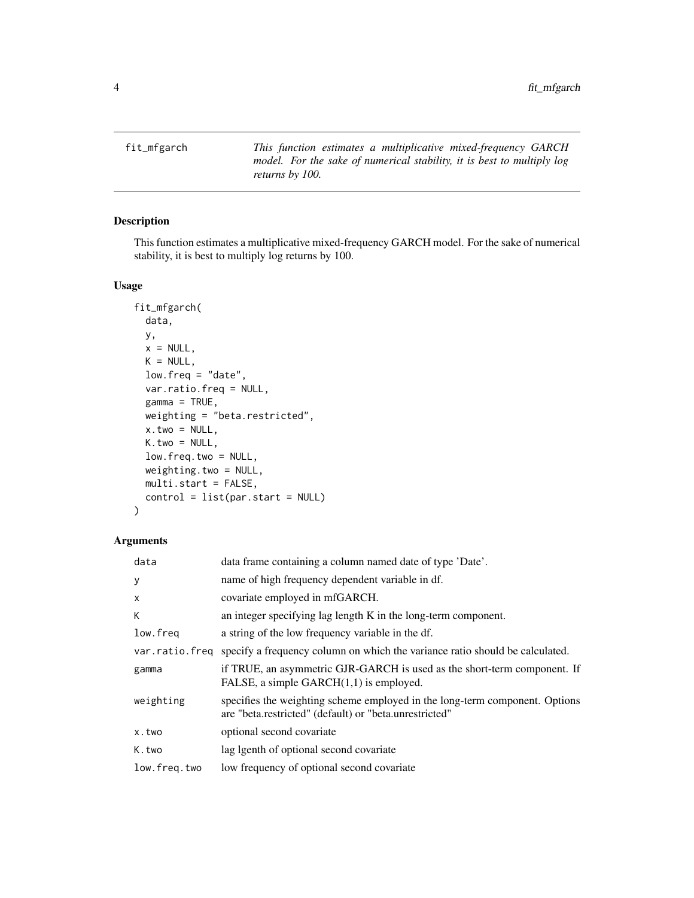<span id="page-3-0"></span>fit\_mfgarch *This function estimates a multiplicative mixed-frequency GARCH model. For the sake of numerical stability, it is best to multiply log returns by 100.*

#### Description

This function estimates a multiplicative mixed-frequency GARCH model. For the sake of numerical stability, it is best to multiply log returns by 100.

#### Usage

```
fit_mfgarch(
  data,
 y,
 x = NULL,K = NULL,low. freq = "date",
  var.ratio.freq = NULL,
  gamma = TRUE,
  weighting = "beta.restricted",
  x.two = NULL,K.two = NULL,
  low.freq.two = NULL,
 weighting.two = NULL,
 multi.start = FALSE,
  control = list(par.start = NULL)
)
```
#### Arguments

| data           | data frame containing a column named date of type 'Date'.                                                                             |
|----------------|---------------------------------------------------------------------------------------------------------------------------------------|
| y              | name of high frequency dependent variable in df.                                                                                      |
| X              | covariate employed in mfGARCH.                                                                                                        |
| К              | an integer specifying lag length K in the long-term component.                                                                        |
| low.freq       | a string of the low frequency variable in the df.                                                                                     |
| var.ratio.freq | specify a frequency column on which the variance ratio should be calculated.                                                          |
| gamma          | if TRUE, an asymmetric GJR-GARCH is used as the short-term component. If<br>FALSE, a simple $GARCH(1,1)$ is employed.                 |
| weighting      | specifies the weighting scheme employed in the long-term component. Options<br>are "beta.restricted" (default) or "beta.unrestricted" |
| x.two          | optional second covariate                                                                                                             |
| K.two          | lag lgenth of optional second covariate                                                                                               |
| low.freq.two   | low frequency of optional second covariate                                                                                            |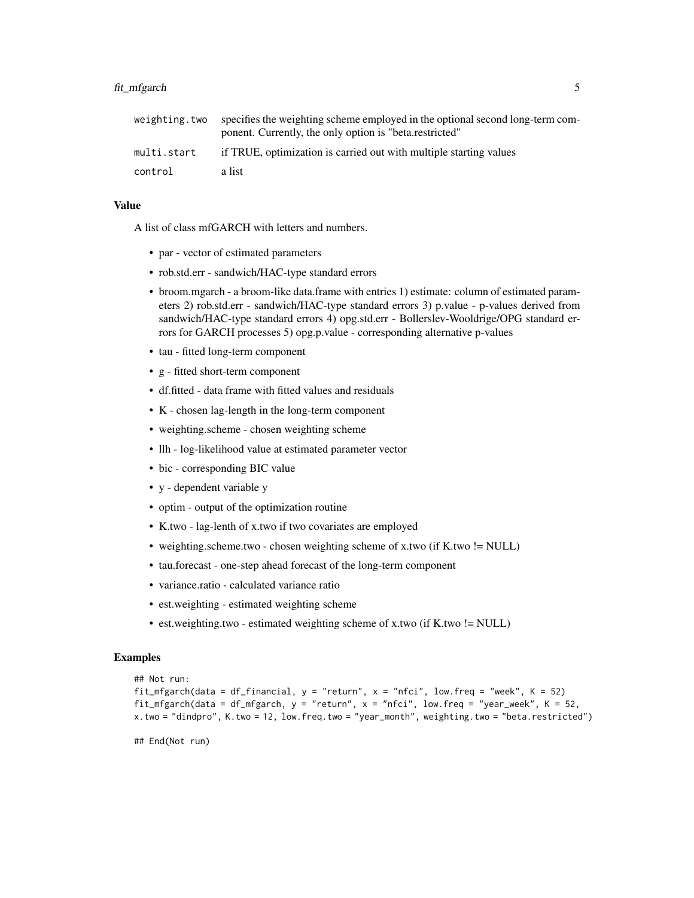| weighting.two | specifies the weighting scheme employed in the optional second long-term com-<br>ponent. Currently, the only option is "beta.restricted" |
|---------------|------------------------------------------------------------------------------------------------------------------------------------------|
| multi.start   | if TRUE, optimization is carried out with multiple starting values                                                                       |
| control       | a list                                                                                                                                   |

#### Value

A list of class mfGARCH with letters and numbers.

- par vector of estimated parameters
- rob.std.err sandwich/HAC-type standard errors
- broom.mgarch a broom-like data.frame with entries 1) estimate: column of estimated parameters 2) rob.std.err - sandwich/HAC-type standard errors 3) p.value - p-values derived from sandwich/HAC-type standard errors 4) opg.std.err - Bollerslev-Wooldrige/OPG standard errors for GARCH processes 5) opg.p.value - corresponding alternative p-values
- tau fitted long-term component
- g fitted short-term component
- df.fitted data frame with fitted values and residuals
- K chosen lag-length in the long-term component
- weighting.scheme chosen weighting scheme
- llh log-likelihood value at estimated parameter vector
- bic corresponding BIC value
- y dependent variable y
- optim output of the optimization routine
- K.two lag-lenth of x.two if two covariates are employed
- weighting.scheme.two chosen weighting scheme of x.two (if K.two != NULL)
- tau.forecast one-step ahead forecast of the long-term component
- variance.ratio calculated variance ratio
- est.weighting estimated weighting scheme
- est.weighting.two estimated weighting scheme of x.two (if K.two != NULL)

#### Examples

```
## Not run:
fit_mfgarch(data = df_financial, y = "return", x = "nfci", low.freq = "week", K = 52)
fit_mfgarch(data = df_mfgarch, y = "return", x = "nfci", low.freq = "year_week", K = 52,
x.two = "dindpro", K.two = 12, low.freq.two = "year_month", weighting.two = "beta.restricted")
```
## End(Not run)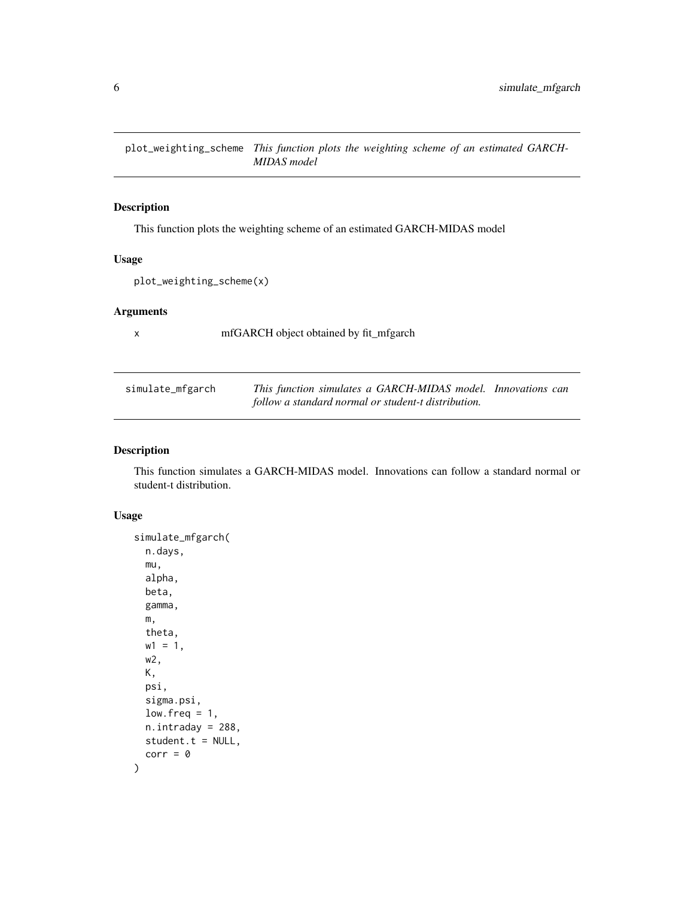<span id="page-5-0"></span>plot\_weighting\_scheme *This function plots the weighting scheme of an estimated GARCH-MIDAS model*

#### Description

This function plots the weighting scheme of an estimated GARCH-MIDAS model

#### Usage

```
plot_weighting_scheme(x)
```
#### Arguments

x mfGARCH object obtained by fit\_mfgarch

| simulate_mfgarch | This function simulates a GARCH-MIDAS model. Innovations can |  |
|------------------|--------------------------------------------------------------|--|
|                  | follow a standard normal or student-t distribution.          |  |

#### Description

This function simulates a GARCH-MIDAS model. Innovations can follow a standard normal or student-t distribution.

#### Usage

```
simulate_mfgarch(
 n.days,
 mu,
  alpha,
 beta,
 gamma,
 m,
 theta,
 w1 = 1,
 w2,
 K,
 psi,
 sigma.psi,
 low. freq = 1,
 n.intraday = 288,
  student.t = NULL,
  corr = 0)
```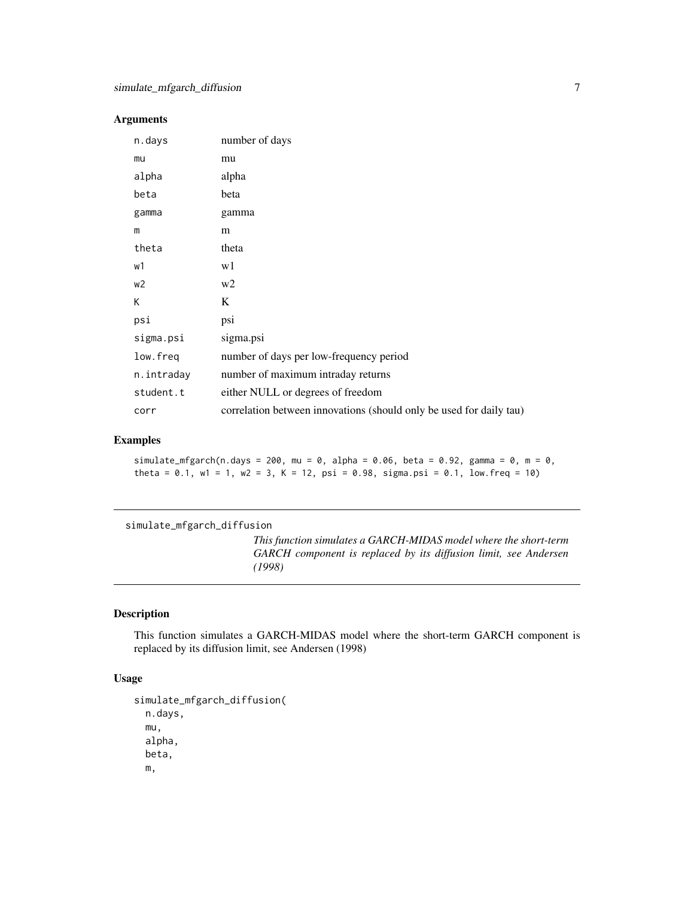#### <span id="page-6-0"></span>Arguments

| n.days     | number of days                                                      |
|------------|---------------------------------------------------------------------|
| mu         | mu                                                                  |
| alpha      | alpha                                                               |
| beta       | beta                                                                |
| gamma      | gamma                                                               |
| m          | m                                                                   |
| theta      | theta                                                               |
| w1         | w1                                                                  |
| w2         | w <sub>2</sub>                                                      |
| K          | K                                                                   |
| psi        | psi                                                                 |
| sigma.psi  | sigma.psi                                                           |
| low.freq   | number of days per low-frequency period                             |
| n.intraday | number of maximum intraday returns                                  |
| student.t  | either NULL or degrees of freedom                                   |
| corr       | correlation between innovations (should only be used for daily tau) |

#### Examples

simulate\_mfgarch(n.days = 200, mu = 0, alpha = 0.06, beta = 0.92, gamma = 0, m = 0, theta =  $0.1$ , w1 = 1, w2 = 3, K = 12, psi = 0.98, sigma.psi = 0.1, low.freq = 10)

simulate\_mfgarch\_diffusion

*This function simulates a GARCH-MIDAS model where the short-term GARCH component is replaced by its diffusion limit, see Andersen (1998)*

#### Description

This function simulates a GARCH-MIDAS model where the short-term GARCH component is replaced by its diffusion limit, see Andersen (1998)

#### Usage

```
simulate_mfgarch_diffusion(
 n.days,
 mu,
 alpha,
 beta,
 m,
```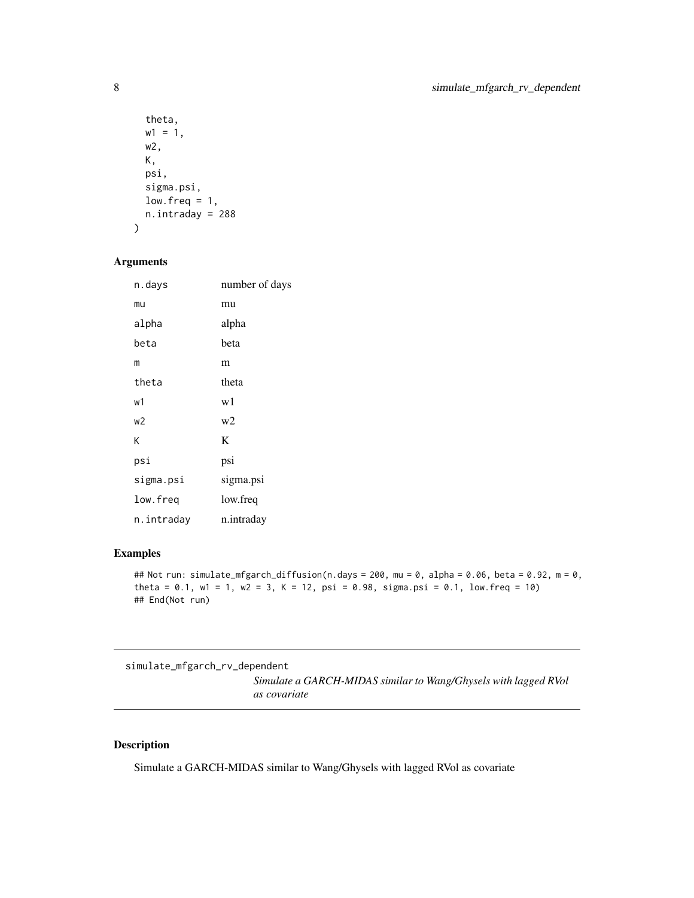```
theta,
 w1 = 1,
 w2,
 K,
 psi,
  sigma.psi,
 low.freq = 1,n.intraday = 288
)
```
# Arguments

| n.days         | number of days |
|----------------|----------------|
| mu             | mu             |
| alpha          | alpha          |
| beta           | beta           |
| m              | m              |
| theta          | theta          |
| w1             | w1             |
| W <sup>2</sup> | w2             |
| K              | K              |
| psi            | psi            |
| sigma.psi      | sigma.psi      |
| low.freq       | low.freq       |
| n.intraday     | n.intraday     |

#### Examples

```
## Not run: simulate_mfgarch_diffusion(n.days = 200, mu = 0, alpha = 0.06, beta = 0.92, m = 0,
theta = 0.1, w1 = 1, w2 = 3, K = 12, psi = 0.98, sigma.psi = 0.1, low.freq = 10)
## End(Not run)
```
simulate\_mfgarch\_rv\_dependent

*Simulate a GARCH-MIDAS similar to Wang/Ghysels with lagged RVol as covariate*

#### Description

Simulate a GARCH-MIDAS similar to Wang/Ghysels with lagged RVol as covariate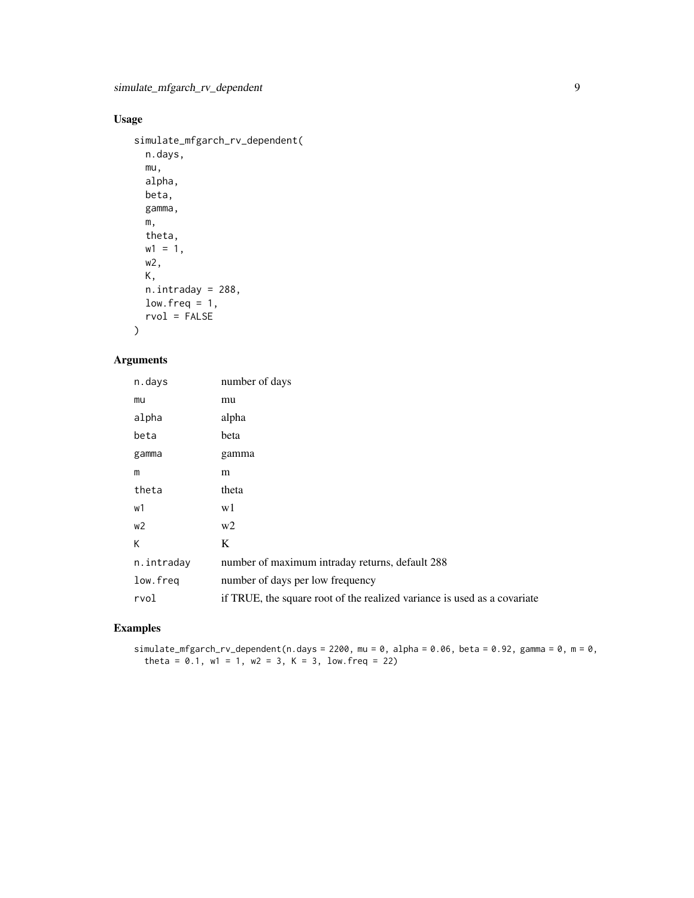# Usage

```
simulate_mfgarch_rv_dependent(
 n.days,
 mu,
 alpha,
 beta,
  gamma,
 m,
 theta,
 w1 = 1,
 w2,
 K,
 n.intraday = 288,
 low. freq = 1,
 rvol = FALSE
```
# )

### Arguments

| n.days         | number of days                                                           |
|----------------|--------------------------------------------------------------------------|
| mu             | mu                                                                       |
| alpha          | alpha                                                                    |
| beta           | beta                                                                     |
| gamma          | gamma                                                                    |
| m              | m                                                                        |
| theta          | theta                                                                    |
| w1             | w1                                                                       |
| w <sub>2</sub> | w <sub>2</sub>                                                           |
| К              | K                                                                        |
| n.intraday     | number of maximum intraday returns, default 288                          |
| low.freq       | number of days per low frequency                                         |
| rvol           | if TRUE, the square root of the realized variance is used as a covariate |

## Examples

simulate\_mfgarch\_rv\_dependent(n.days = 2200, mu = 0, alpha = 0.06, beta = 0.92, gamma = 0, m = 0, theta =  $0.1$ , w1 = 1, w2 = 3, K = 3, low.freq = 22)